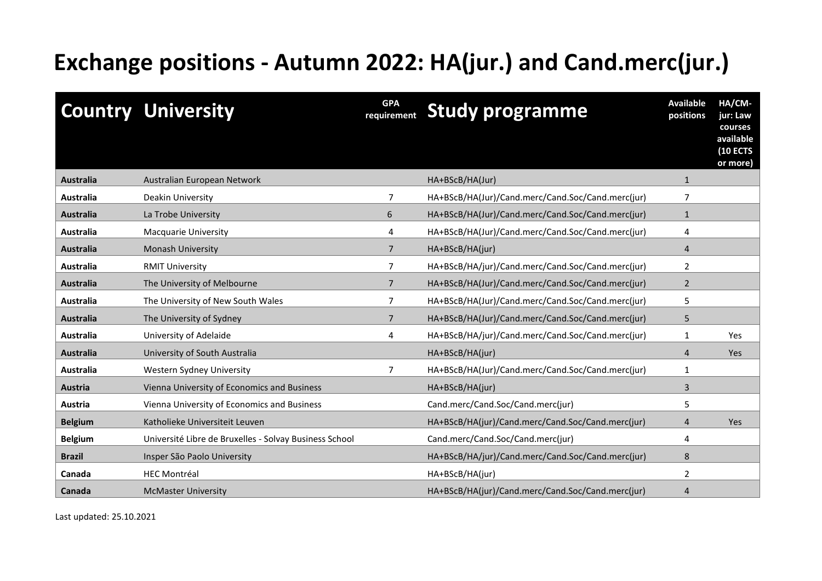## **Exchange positions - Autumn 2022: HA(jur.) and Cand.merc(jur.)**

|                  | <b>Country University</b>                              | <b>GPA</b><br>requirement | <b>Study programme</b>                            | <b>Available</b><br>positions | HA/CM-<br>jur: Law<br>courses<br>available<br><b>(10 ECTS</b><br>or more) |
|------------------|--------------------------------------------------------|---------------------------|---------------------------------------------------|-------------------------------|---------------------------------------------------------------------------|
| <b>Australia</b> | Australian European Network                            |                           | HA+BScB/HA(Jur)                                   | $\mathbf{1}$                  |                                                                           |
| Australia        | Deakin University                                      |                           | HA+BScB/HA(Jur)/Cand.merc/Cand.Soc/Cand.merc(jur) | 7                             |                                                                           |
| <b>Australia</b> | La Trobe University                                    | 6                         | HA+BScB/HA(Jur)/Cand.merc/Cand.Soc/Cand.merc(jur) | $\mathbf{1}$                  |                                                                           |
| <b>Australia</b> | <b>Macquarie University</b>                            | 4                         | HA+BScB/HA(Jur)/Cand.merc/Cand.Soc/Cand.merc(jur) | 4                             |                                                                           |
| <b>Australia</b> | <b>Monash University</b>                               | 7                         | HA+BScB/HA(jur)                                   | 4                             |                                                                           |
| <b>Australia</b> | <b>RMIT University</b>                                 | $\overline{7}$            | HA+BScB/HA/jur)/Cand.merc/Cand.Soc/Cand.merc(jur) | $\overline{2}$                |                                                                           |
| <b>Australia</b> | The University of Melbourne                            | 7                         | HA+BScB/HA(Jur)/Cand.merc/Cand.Soc/Cand.merc(jur) | $\overline{2}$                |                                                                           |
| <b>Australia</b> | The University of New South Wales                      | 7                         | HA+BScB/HA(Jur)/Cand.merc/Cand.Soc/Cand.merc(jur) | 5                             |                                                                           |
| <b>Australia</b> | The University of Sydney                               | $\overline{7}$            | HA+BScB/HA(Jur)/Cand.merc/Cand.Soc/Cand.merc(jur) | 5                             |                                                                           |
| <b>Australia</b> | University of Adelaide                                 | 4                         | HA+BScB/HA/jur)/Cand.merc/Cand.Soc/Cand.merc(jur) | 1                             | Yes                                                                       |
| <b>Australia</b> | University of South Australia                          |                           | HA+BScB/HA(jur)                                   | 4                             | <b>Yes</b>                                                                |
| Australia        | Western Sydney University                              | 7                         | HA+BScB/HA(Jur)/Cand.merc/Cand.Soc/Cand.merc(jur) | 1                             |                                                                           |
| <b>Austria</b>   | Vienna University of Economics and Business            |                           | HA+BScB/HA(jur)                                   | 3                             |                                                                           |
| Austria          | Vienna University of Economics and Business            |                           | Cand.merc/Cand.Soc/Cand.merc(jur)                 | 5                             |                                                                           |
| <b>Belgium</b>   | Katholieke Universiteit Leuven                         |                           | HA+BScB/HA(jur)/Cand.merc/Cand.Soc/Cand.merc(jur) | $\overline{4}$                | Yes                                                                       |
| <b>Belgium</b>   | Université Libre de Bruxelles - Solvay Business School |                           | Cand.merc/Cand.Soc/Cand.merc(jur)                 | 4                             |                                                                           |
| <b>Brazil</b>    | Insper São Paolo University                            |                           | HA+BScB/HA/jur)/Cand.merc/Cand.Soc/Cand.merc(jur) | 8                             |                                                                           |
| Canada           | <b>HEC Montréal</b>                                    |                           | HA+BScB/HA(jur)                                   | $\overline{2}$                |                                                                           |
| Canada           | <b>McMaster University</b>                             |                           | HA+BScB/HA(jur)/Cand.merc/Cand.Soc/Cand.merc(jur) | 4                             |                                                                           |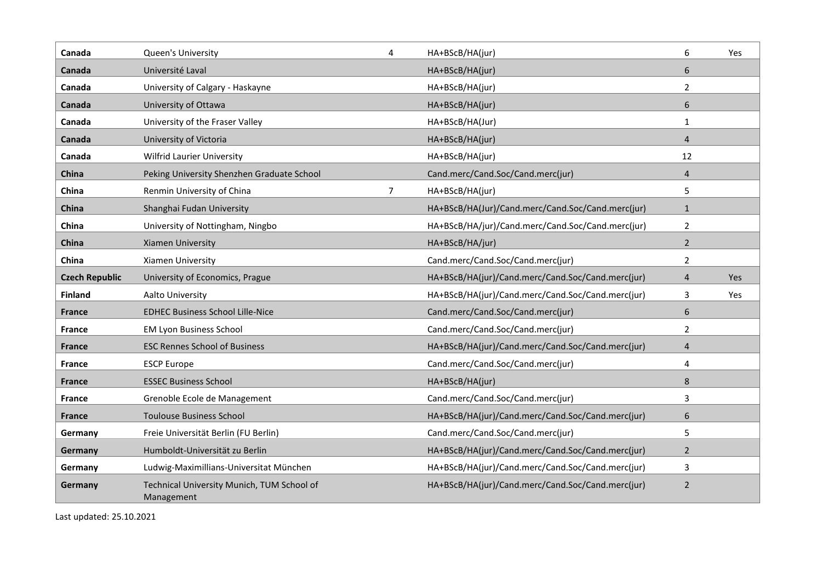| Canada                | Queen's University                                       | 4 | HA+BScB/HA(jur)                                   | 6              | Yes |
|-----------------------|----------------------------------------------------------|---|---------------------------------------------------|----------------|-----|
| Canada                | Université Laval                                         |   | HA+BScB/HA(jur)                                   | 6              |     |
| Canada                | University of Calgary - Haskayne                         |   | HA+BScB/HA(jur)                                   | $\overline{2}$ |     |
| Canada                | University of Ottawa                                     |   | HA+BScB/HA(jur)                                   | 6              |     |
| Canada                | University of the Fraser Valley                          |   | HA+BScB/HA(Jur)                                   | $\mathbf{1}$   |     |
| Canada                | University of Victoria                                   |   | HA+BScB/HA(jur)                                   | $\overline{4}$ |     |
| Canada                | <b>Wilfrid Laurier University</b>                        |   | HA+BScB/HA(jur)                                   | 12             |     |
| China                 | Peking University Shenzhen Graduate School               |   | Cand.merc/Cand.Soc/Cand.merc(jur)                 | $\overline{4}$ |     |
| China                 | Renmin University of China                               | 7 | HA+BScB/HA(jur)                                   | 5              |     |
| China                 | Shanghai Fudan University                                |   | HA+BScB/HA(Jur)/Cand.merc/Cand.Soc/Cand.merc(jur) | $\mathbf{1}$   |     |
| China                 | University of Nottingham, Ningbo                         |   | HA+BScB/HA/jur)/Cand.merc/Cand.Soc/Cand.merc(jur) | $\overline{2}$ |     |
| China                 | Xiamen University                                        |   | HA+BScB/HA/jur)                                   | $\overline{2}$ |     |
| China                 | Xiamen University                                        |   | Cand.merc/Cand.Soc/Cand.merc(jur)                 | 2              |     |
| <b>Czech Republic</b> | University of Economics, Prague                          |   | HA+BScB/HA(jur)/Cand.merc/Cand.Soc/Cand.merc(jur) | 4              | Yes |
| <b>Finland</b>        | Aalto University                                         |   | HA+BScB/HA(jur)/Cand.merc/Cand.Soc/Cand.merc(jur) | 3              | Yes |
| <b>France</b>         | <b>EDHEC Business School Lille-Nice</b>                  |   | Cand.merc/Cand.Soc/Cand.merc(jur)                 | 6              |     |
| <b>France</b>         | <b>EM Lyon Business School</b>                           |   | Cand.merc/Cand.Soc/Cand.merc(jur)                 | $\overline{2}$ |     |
| <b>France</b>         | <b>ESC Rennes School of Business</b>                     |   | HA+BScB/HA(jur)/Cand.merc/Cand.Soc/Cand.merc(jur) | $\overline{4}$ |     |
| <b>France</b>         | <b>ESCP Europe</b>                                       |   | Cand.merc/Cand.Soc/Cand.merc(jur)                 | 4              |     |
| <b>France</b>         | <b>ESSEC Business School</b>                             |   | HA+BScB/HA(jur)                                   | 8              |     |
| France                | Grenoble Ecole de Management                             |   | Cand.merc/Cand.Soc/Cand.merc(jur)                 | 3              |     |
| <b>France</b>         | <b>Toulouse Business School</b>                          |   | HA+BScB/HA(jur)/Cand.merc/Cand.Soc/Cand.merc(jur) | 6              |     |
| Germany               | Freie Universität Berlin (FU Berlin)                     |   | Cand.merc/Cand.Soc/Cand.merc(jur)                 | 5              |     |
| Germany               | Humboldt-Universität zu Berlin                           |   | HA+BScB/HA(jur)/Cand.merc/Cand.Soc/Cand.merc(jur) | $\overline{2}$ |     |
| Germany               | Ludwig-Maximillians-Universitat München                  |   | HA+BScB/HA(jur)/Cand.merc/Cand.Soc/Cand.merc(jur) | 3              |     |
| Germany               | Technical University Munich, TUM School of<br>Management |   | HA+BScB/HA(jur)/Cand.merc/Cand.Soc/Cand.merc(jur) | $\overline{2}$ |     |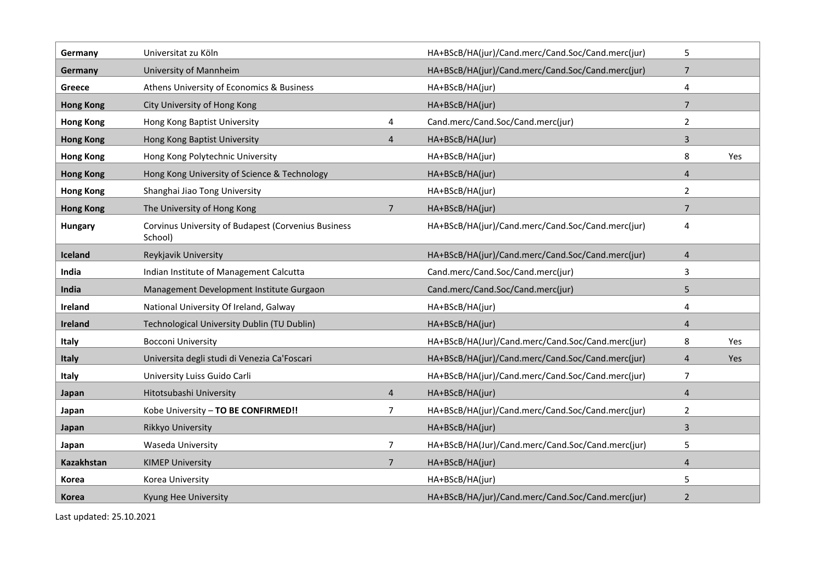| Germany           | Universitat zu Köln                                            |                | HA+BScB/HA(jur)/Cand.merc/Cand.Soc/Cand.merc(jur) | 5              |     |
|-------------------|----------------------------------------------------------------|----------------|---------------------------------------------------|----------------|-----|
| Germany           | University of Mannheim                                         |                | HA+BScB/HA(jur)/Cand.merc/Cand.Soc/Cand.merc(jur) | $\overline{7}$ |     |
| Greece            | Athens University of Economics & Business                      |                | HA+BScB/HA(jur)                                   | 4              |     |
| <b>Hong Kong</b>  | City University of Hong Kong                                   |                | HA+BScB/HA(jur)                                   | $\overline{7}$ |     |
| <b>Hong Kong</b>  | Hong Kong Baptist University                                   | 4              | Cand.merc/Cand.Soc/Cand.merc(jur)                 | $\overline{2}$ |     |
| <b>Hong Kong</b>  | Hong Kong Baptist University                                   | $\overline{4}$ | HA+BScB/HA(Jur)                                   | $\overline{3}$ |     |
| <b>Hong Kong</b>  | Hong Kong Polytechnic University                               |                | HA+BScB/HA(jur)                                   | 8              | Yes |
| <b>Hong Kong</b>  | Hong Kong University of Science & Technology                   |                | HA+BScB/HA(jur)                                   | 4              |     |
| <b>Hong Kong</b>  | Shanghai Jiao Tong University                                  |                | HA+BScB/HA(jur)                                   | $\overline{2}$ |     |
| <b>Hong Kong</b>  | The University of Hong Kong                                    | $\overline{7}$ | HA+BScB/HA(jur)                                   | $\overline{7}$ |     |
| <b>Hungary</b>    | Corvinus University of Budapest (Corvenius Business<br>School) |                | HA+BScB/HA(jur)/Cand.merc/Cand.Soc/Cand.merc(jur) | 4              |     |
| Iceland           | Reykjavik University                                           |                | HA+BScB/HA(jur)/Cand.merc/Cand.Soc/Cand.merc(jur) | $\overline{4}$ |     |
| India             | Indian Institute of Management Calcutta                        |                | Cand.merc/Cand.Soc/Cand.merc(jur)                 | 3              |     |
| India             | Management Development Institute Gurgaon                       |                | Cand.merc/Cand.Soc/Cand.merc(jur)                 | 5              |     |
| Ireland           | National University Of Ireland, Galway                         |                | HA+BScB/HA(jur)                                   | 4              |     |
| Ireland           | Technological University Dublin (TU Dublin)                    |                | HA+BScB/HA(jur)                                   | $\overline{4}$ |     |
| Italy             | <b>Bocconi University</b>                                      |                | HA+BScB/HA(Jur)/Cand.merc/Cand.Soc/Cand.merc(jur) | 8              | Yes |
| <b>Italy</b>      | Universita degli studi di Venezia Ca'Foscari                   |                | HA+BScB/HA(jur)/Cand.merc/Cand.Soc/Cand.merc(jur) | 4              | Yes |
| Italy             | University Luiss Guido Carli                                   |                | HA+BScB/HA(jur)/Cand.merc/Cand.Soc/Cand.merc(jur) | $\overline{7}$ |     |
| Japan             | Hitotsubashi University                                        | $\overline{4}$ | HA+BScB/HA(jur)                                   | $\overline{4}$ |     |
| Japan             | Kobe University - TO BE CONFIRMED!!                            | 7              | HA+BScB/HA(jur)/Cand.merc/Cand.Soc/Cand.merc(jur) | $\overline{2}$ |     |
| Japan             | Rikkyo University                                              |                | HA+BScB/HA(jur)                                   | $\overline{3}$ |     |
| Japan             | Waseda University                                              | 7              | HA+BScB/HA(Jur)/Cand.merc/Cand.Soc/Cand.merc(jur) | 5              |     |
| <b>Kazakhstan</b> | <b>KIMEP University</b>                                        | $\overline{7}$ | HA+BScB/HA(jur)                                   | $\overline{4}$ |     |
| Korea             | Korea University                                               |                | HA+BScB/HA(jur)                                   | 5              |     |
| Korea             | Kyung Hee University                                           |                | HA+BScB/HA/jur)/Cand.merc/Cand.Soc/Cand.merc(jur) | $\overline{2}$ |     |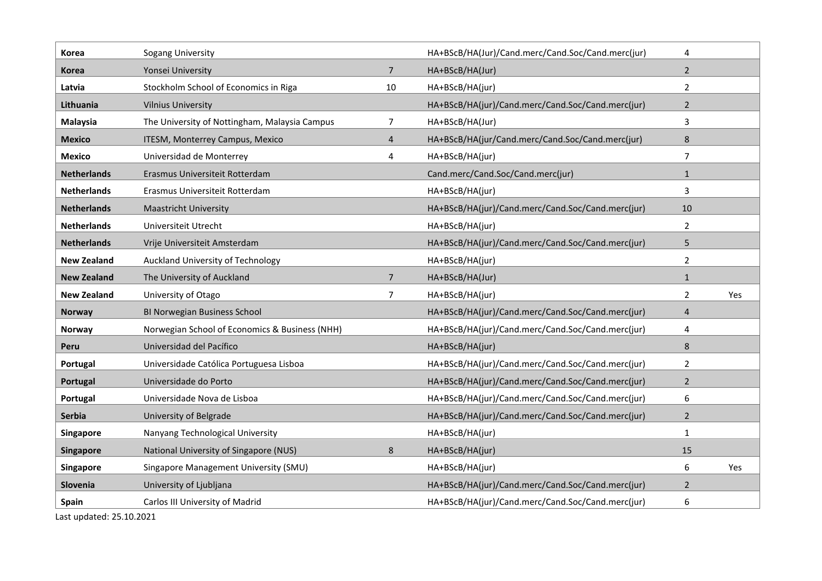| Korea              | Sogang University                              |                | HA+BScB/HA(Jur)/Cand.merc/Cand.Soc/Cand.merc(jur) | 4              |     |
|--------------------|------------------------------------------------|----------------|---------------------------------------------------|----------------|-----|
| <b>Korea</b>       | Yonsei University                              | $\overline{7}$ | HA+BScB/HA(Jur)                                   | $\overline{2}$ |     |
| Latvia             | Stockholm School of Economics in Riga          | 10             | HA+BScB/HA(jur)                                   | $\overline{2}$ |     |
| Lithuania          | <b>Vilnius University</b>                      |                | HA+BScB/HA(jur)/Cand.merc/Cand.Soc/Cand.merc(jur) | $\overline{2}$ |     |
| Malaysia           | The University of Nottingham, Malaysia Campus  | 7              | HA+BScB/HA(Jur)                                   | 3              |     |
| <b>Mexico</b>      | ITESM, Monterrey Campus, Mexico                | $\overline{4}$ | HA+BScB/HA(jur/Cand.merc/Cand.Soc/Cand.merc(jur)  | 8              |     |
| <b>Mexico</b>      | Universidad de Monterrey                       | 4              | HA+BScB/HA(jur)                                   | $\overline{7}$ |     |
| <b>Netherlands</b> | Erasmus Universiteit Rotterdam                 |                | Cand.merc/Cand.Soc/Cand.merc(jur)                 | $\mathbf{1}$   |     |
| <b>Netherlands</b> | Erasmus Universiteit Rotterdam                 |                | HA+BScB/HA(jur)                                   | 3              |     |
| <b>Netherlands</b> | <b>Maastricht University</b>                   |                | HA+BScB/HA(jur)/Cand.merc/Cand.Soc/Cand.merc(jur) | 10             |     |
| <b>Netherlands</b> | Universiteit Utrecht                           |                | HA+BScB/HA(jur)                                   | 2              |     |
| <b>Netherlands</b> | Vrije Universiteit Amsterdam                   |                | HA+BScB/HA(jur)/Cand.merc/Cand.Soc/Cand.merc(jur) | 5              |     |
| <b>New Zealand</b> | Auckland University of Technology              |                | HA+BScB/HA(jur)                                   | $\overline{2}$ |     |
| <b>New Zealand</b> | The University of Auckland                     | 7              | HA+BScB/HA(Jur)                                   | $\mathbf{1}$   |     |
| <b>New Zealand</b> | University of Otago                            | 7              | HA+BScB/HA(jur)                                   | 2              | Yes |
| <b>Norway</b>      | BI Norwegian Business School                   |                | HA+BScB/HA(jur)/Cand.merc/Cand.Soc/Cand.merc(jur) | $\overline{4}$ |     |
| <b>Norway</b>      | Norwegian School of Economics & Business (NHH) |                | HA+BScB/HA(jur)/Cand.merc/Cand.Soc/Cand.merc(jur) | 4              |     |
| Peru               | Universidad del Pacífico                       |                | HA+BScB/HA(jur)                                   | 8              |     |
| Portugal           | Universidade Católica Portuguesa Lisboa        |                | HA+BScB/HA(jur)/Cand.merc/Cand.Soc/Cand.merc(jur) | $\overline{2}$ |     |
| Portugal           | Universidade do Porto                          |                | HA+BScB/HA(jur)/Cand.merc/Cand.Soc/Cand.merc(jur) | $\overline{2}$ |     |
| Portugal           | Universidade Nova de Lisboa                    |                | HA+BScB/HA(jur)/Cand.merc/Cand.Soc/Cand.merc(jur) | 6              |     |
| <b>Serbia</b>      | University of Belgrade                         |                | HA+BScB/HA(jur)/Cand.merc/Cand.Soc/Cand.merc(jur) | $\overline{2}$ |     |
| Singapore          | Nanyang Technological University               |                | HA+BScB/HA(jur)                                   | 1              |     |
| Singapore          | National University of Singapore (NUS)         | 8              | HA+BScB/HA(jur)                                   | 15             |     |
| Singapore          | Singapore Management University (SMU)          |                | HA+BScB/HA(jur)                                   | 6              | Yes |
| Slovenia           | University of Ljubljana                        |                | HA+BScB/HA(jur)/Cand.merc/Cand.Soc/Cand.merc(jur) | $\overline{2}$ |     |
| <b>Spain</b>       | Carlos III University of Madrid                |                | HA+BScB/HA(jur)/Cand.merc/Cand.Soc/Cand.merc(jur) | 6              |     |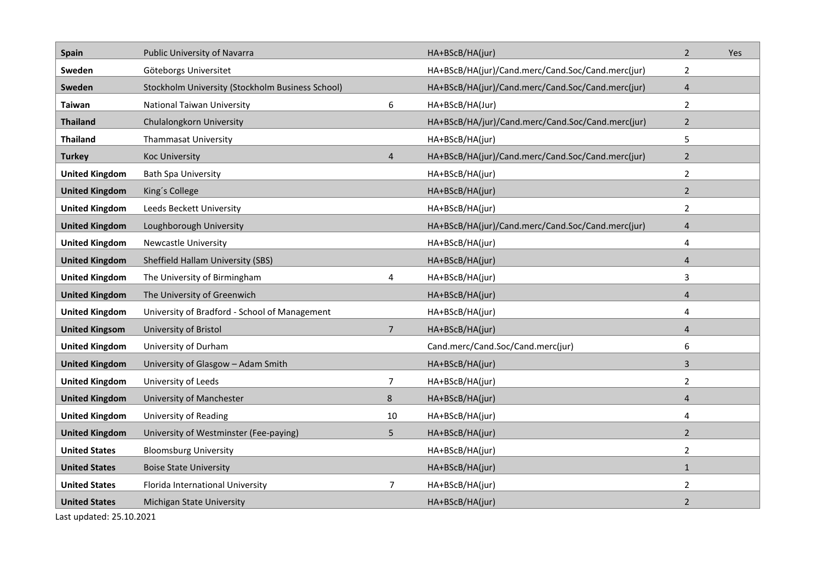| <b>Spain</b>          | Public University of Navarra                     |                | HA+BScB/HA(jur)                                   | $\overline{2}$ | Yes |
|-----------------------|--------------------------------------------------|----------------|---------------------------------------------------|----------------|-----|
| Sweden                | Göteborgs Universitet                            |                | HA+BScB/HA(jur)/Cand.merc/Cand.Soc/Cand.merc(jur) | $\overline{2}$ |     |
| Sweden                | Stockholm University (Stockholm Business School) |                | HA+BScB/HA(jur)/Cand.merc/Cand.Soc/Cand.merc(jur) | $\overline{4}$ |     |
| <b>Taiwan</b>         | National Taiwan University                       | 6              | HA+BScB/HA(Jur)                                   | $\overline{2}$ |     |
| <b>Thailand</b>       | Chulalongkorn University                         |                | HA+BScB/HA/jur)/Cand.merc/Cand.Soc/Cand.merc(jur) | $\overline{2}$ |     |
| <b>Thailand</b>       | <b>Thammasat University</b>                      |                | HA+BScB/HA(jur)                                   | 5              |     |
| <b>Turkey</b>         | <b>Koc University</b>                            | $\overline{4}$ | HA+BScB/HA(jur)/Cand.merc/Cand.Soc/Cand.merc(jur) | $\overline{2}$ |     |
| <b>United Kingdom</b> | <b>Bath Spa University</b>                       |                | HA+BScB/HA(jur)                                   | $\overline{2}$ |     |
| <b>United Kingdom</b> | King's College                                   |                | HA+BScB/HA(jur)                                   | $\overline{2}$ |     |
| <b>United Kingdom</b> | Leeds Beckett University                         |                | HA+BScB/HA(jur)                                   | $\overline{2}$ |     |
| <b>United Kingdom</b> | Loughborough University                          |                | HA+BScB/HA(jur)/Cand.merc/Cand.Soc/Cand.merc(jur) | $\overline{4}$ |     |
| <b>United Kingdom</b> | <b>Newcastle University</b>                      |                | HA+BScB/HA(jur)                                   | 4              |     |
| <b>United Kingdom</b> | Sheffield Hallam University (SBS)                |                | HA+BScB/HA(jur)                                   | $\overline{4}$ |     |
| <b>United Kingdom</b> | The University of Birmingham                     | 4              | HA+BScB/HA(jur)                                   | 3              |     |
| <b>United Kingdom</b> | The University of Greenwich                      |                | HA+BScB/HA(jur)                                   | $\overline{4}$ |     |
| <b>United Kingdom</b> | University of Bradford - School of Management    |                | HA+BScB/HA(jur)                                   | 4              |     |
| <b>United Kingsom</b> | University of Bristol                            | 7              | HA+BScB/HA(jur)                                   | 4              |     |
| <b>United Kingdom</b> | University of Durham                             |                | Cand.merc/Cand.Soc/Cand.merc(jur)                 | 6              |     |
| <b>United Kingdom</b> | University of Glasgow - Adam Smith               |                | HA+BScB/HA(jur)                                   | 3              |     |
| <b>United Kingdom</b> | University of Leeds                              | $\overline{7}$ | HA+BScB/HA(jur)                                   | $\overline{2}$ |     |
| <b>United Kingdom</b> | University of Manchester                         | 8              | HA+BScB/HA(jur)                                   | 4              |     |
| <b>United Kingdom</b> | University of Reading                            | 10             | HA+BScB/HA(jur)                                   | 4              |     |
| <b>United Kingdom</b> | University of Westminster (Fee-paying)           | 5              | HA+BScB/HA(jur)                                   | $\overline{2}$ |     |
| <b>United States</b>  | <b>Bloomsburg University</b>                     |                | HA+BScB/HA(jur)                                   | $\overline{2}$ |     |
| <b>United States</b>  | <b>Boise State University</b>                    |                | HA+BScB/HA(jur)                                   | $\mathbf{1}$   |     |
| <b>United States</b>  | Florida International University                 | 7              | HA+BScB/HA(jur)                                   | $\overline{2}$ |     |
| <b>United States</b>  | Michigan State University                        |                | HA+BScB/HA(jur)                                   | $\overline{2}$ |     |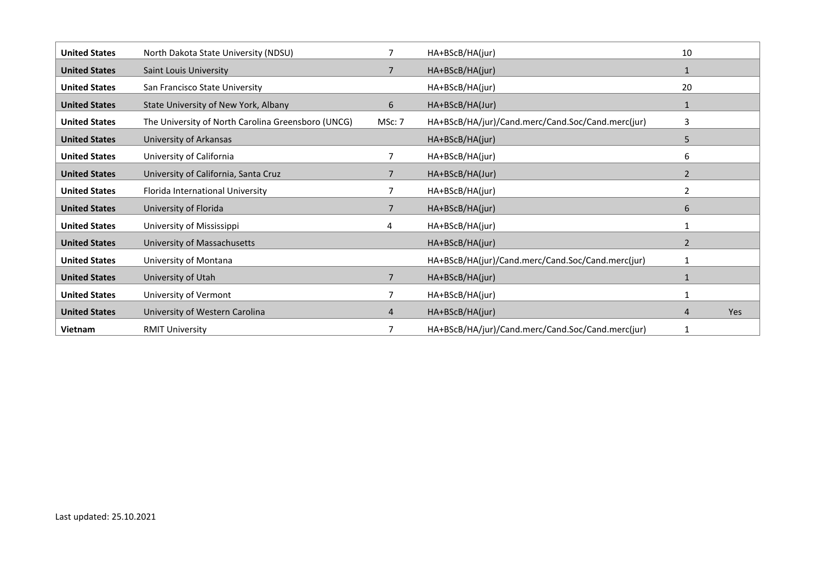| <b>United States</b> | North Dakota State University (NDSU)               |                | HA+BScB/HA(jur)                                   | 10             |            |
|----------------------|----------------------------------------------------|----------------|---------------------------------------------------|----------------|------------|
| <b>United States</b> | <b>Saint Louis University</b>                      |                | HA+BScB/HA(jur)                                   |                |            |
| <b>United States</b> | San Francisco State University                     |                | HA+BScB/HA(jur)                                   | 20             |            |
| <b>United States</b> | State University of New York, Albany               | 6              | HA+BScB/HA(Jur)                                   |                |            |
| <b>United States</b> | The University of North Carolina Greensboro (UNCG) | MSc: 7         | HA+BScB/HA/jur)/Cand.merc/Cand.Soc/Cand.merc(jur) | 3              |            |
| <b>United States</b> | University of Arkansas                             |                | HA+BScB/HA(jur)                                   | 5              |            |
| <b>United States</b> | University of California                           | 7              | HA+BScB/HA(jur)                                   | 6              |            |
| <b>United States</b> | University of California, Santa Cruz               |                | HA+BScB/HA(Jur)                                   | $\overline{2}$ |            |
| <b>United States</b> | Florida International University                   |                | HA+BScB/HA(jur)                                   | $\overline{2}$ |            |
| <b>United States</b> | University of Florida                              |                | HA+BScB/HA(jur)                                   | 6              |            |
| <b>United States</b> | University of Mississippi                          | 4              | HA+BScB/HA(jur)                                   |                |            |
| <b>United States</b> | University of Massachusetts                        |                | HA+BScB/HA(jur)                                   | $\overline{2}$ |            |
| <b>United States</b> | University of Montana                              |                | HA+BScB/HA(jur)/Cand.merc/Cand.Soc/Cand.merc(jur) |                |            |
| <b>United States</b> | University of Utah                                 | $\overline{7}$ | HA+BScB/HA(jur)                                   |                |            |
| <b>United States</b> | University of Vermont                              |                | HA+BScB/HA(jur)                                   |                |            |
| <b>United States</b> | University of Western Carolina                     | 4              | HA+BScB/HA(jur)                                   |                | <b>Yes</b> |
| <b>Vietnam</b>       | <b>RMIT University</b>                             |                | HA+BScB/HA/jur)/Cand.merc/Cand.Soc/Cand.merc(jur) |                |            |